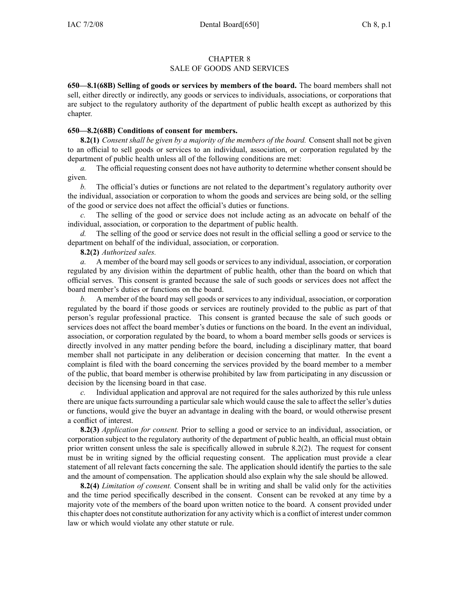## CHAPTER 8

## SALE OF GOODS AND SERVICES

**650—8.1(68B) Selling of goods or services by members of the board.** The board members shall not sell, either directly or indirectly, any goods or services to individuals, associations, or corporations that are subject to the regulatory authority of the department of public health excep<sup>t</sup> as authorized by this chapter.

## **650—8.2(68B) Conditions of consent for members.**

**8.2(1)** *Consent shall be given by <sup>a</sup> majority of the members of the board.* Consent shall not be given to an official to sell goods or services to an individual, association, or corporation regulated by the department of public health unless all of the following conditions are met:

*a.* The official requesting consent does not have authority to determine whether consent should be given.

*b.* The official's duties or functions are not related to the department's regulatory authority over the individual, association or corporation to whom the goods and services are being sold, or the selling of the good or service does not affect the official's duties or functions.

*c.* The selling of the good or service does not include acting as an advocate on behalf of the individual, association, or corporation to the department of public health.

The selling of the good or service does not result in the official selling a good or service to the department on behalf of the individual, association, or corporation.

## **8.2(2)** *Authorized sales.*

*a.* A member of the board may sell goods or services to any individual, association, or corporation regulated by any division within the department of public health, other than the board on which that official serves. This consent is granted because the sale of such goods or services does not affect the board member's duties or functions on the board.

*b.* A member of the board may sell goods or services to any individual, association, or corporation regulated by the board if those goods or services are routinely provided to the public as par<sup>t</sup> of that person's regular professional practice. This consent is granted because the sale of such goods or services does not affect the board member's duties or functions on the board. In the event an individual, association, or corporation regulated by the board, to whom <sup>a</sup> board member sells goods or services is directly involved in any matter pending before the board, including <sup>a</sup> disciplinary matter, that board member shall not participate in any deliberation or decision concerning that matter. In the event <sup>a</sup> complaint is filed with the board concerning the services provided by the board member to <sup>a</sup> member of the public, that board member is otherwise prohibited by law from participating in any discussion or decision by the licensing board in that case.

*c.* Individual application and approval are not required for the sales authorized by this rule unless there are unique facts surrounding <sup>a</sup> particular sale which would cause the sale to affect the seller's duties or functions, would give the buyer an advantage in dealing with the board, or would otherwise presen<sup>t</sup> <sup>a</sup> conflict of interest.

**8.2(3)** *Application for consent.* Prior to selling <sup>a</sup> good or service to an individual, association, or corporation subject to the regulatory authority of the department of public health, an official must obtain prior written consent unless the sale is specifically allowed in subrule 8.2(2). The reques<sup>t</sup> for consent must be in writing signed by the official requesting consent. The application must provide <sup>a</sup> clear statement of all relevant facts concerning the sale. The application should identify the parties to the sale and the amount of compensation. The application should also explain why the sale should be allowed.

**8.2(4)** *Limitation of consent.* Consent shall be in writing and shall be valid only for the activities and the time period specifically described in the consent. Consent can be revoked at any time by <sup>a</sup> majority vote of the members of the board upon written notice to the board. A consent provided under this chapter does not constitute authorization for any activity which is <sup>a</sup> conflict of interest under common law or which would violate any other statute or rule.